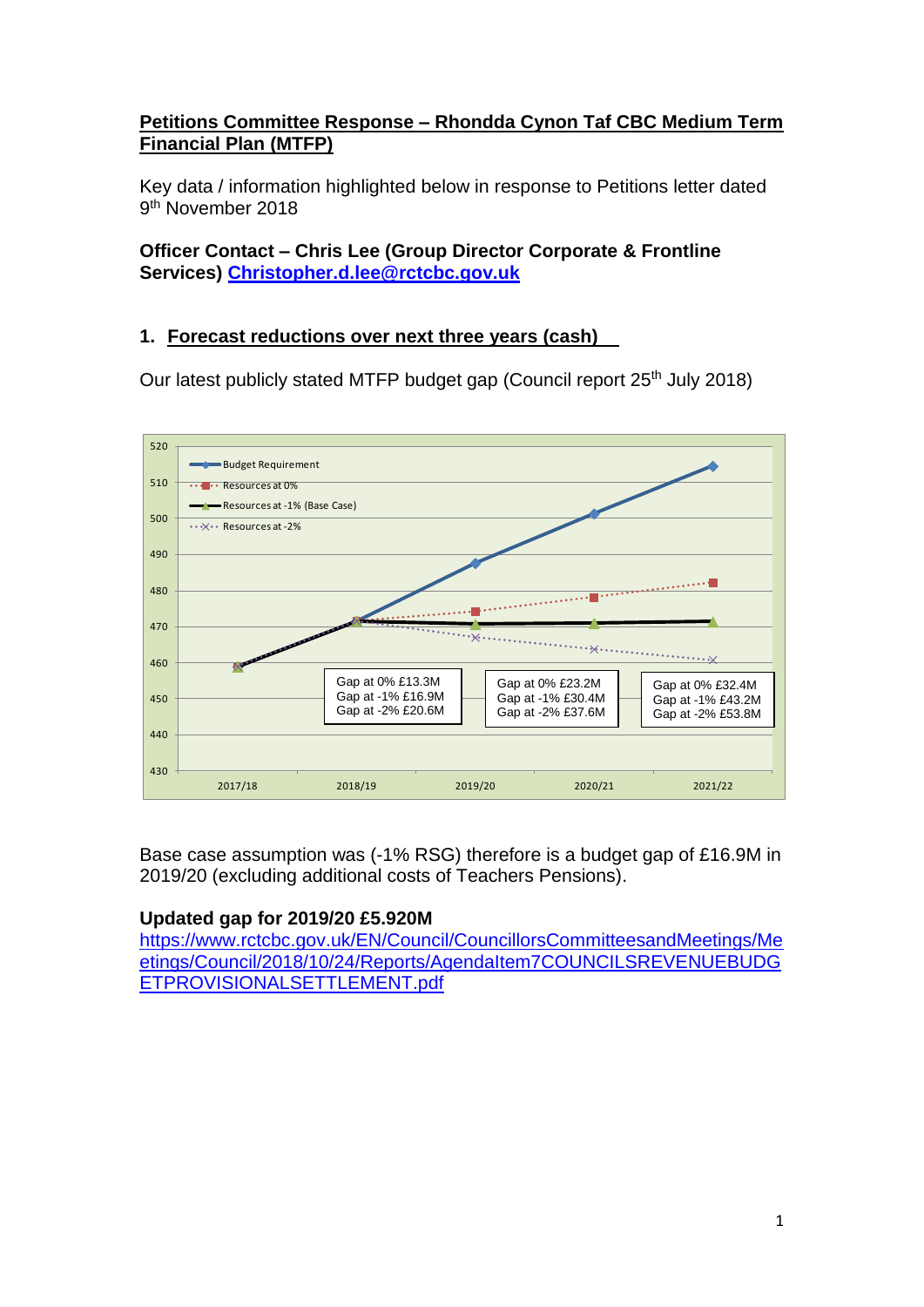## **Petitions Committee Response – Rhondda Cynon Taf CBC Medium Term Financial Plan (MTFP)**

Key data / information highlighted below in response to Petitions letter dated 9<sup>th</sup> November 2018

## **Officer Contact – Chris Lee (Group Director Corporate & Frontline Services) [Christopher.d.lee@rctcbc.gov.uk](mailto:Christopher.d.lee@rctcbc.gov.uk)**

# **1. Forecast reductions over next three years (cash)**

Our latest publicly stated MTFP budget gap (Council report 25<sup>th</sup> July 2018)



Base case assumption was (-1% RSG) therefore is a budget gap of £16.9M in 2019/20 (excluding additional costs of Teachers Pensions).

# **Updated gap for 2019/20 £5.920M**

[https://www.rctcbc.gov.uk/EN/Council/CouncillorsCommitteesandMeetings/Me](https://www.rctcbc.gov.uk/EN/Council/CouncillorsCommitteesandMeetings/Meetings/Council/2018/10/24/Reports/AgendaItem7COUNCILSREVENUEBUDGETPROVISIONALSETTLEMENT.pdf) [etings/Council/2018/10/24/Reports/AgendaItem7COUNCILSREVENUEBUDG](https://www.rctcbc.gov.uk/EN/Council/CouncillorsCommitteesandMeetings/Meetings/Council/2018/10/24/Reports/AgendaItem7COUNCILSREVENUEBUDGETPROVISIONALSETTLEMENT.pdf) [ETPROVISIONALSETTLEMENT.pdf](https://www.rctcbc.gov.uk/EN/Council/CouncillorsCommitteesandMeetings/Meetings/Council/2018/10/24/Reports/AgendaItem7COUNCILSREVENUEBUDGETPROVISIONALSETTLEMENT.pdf)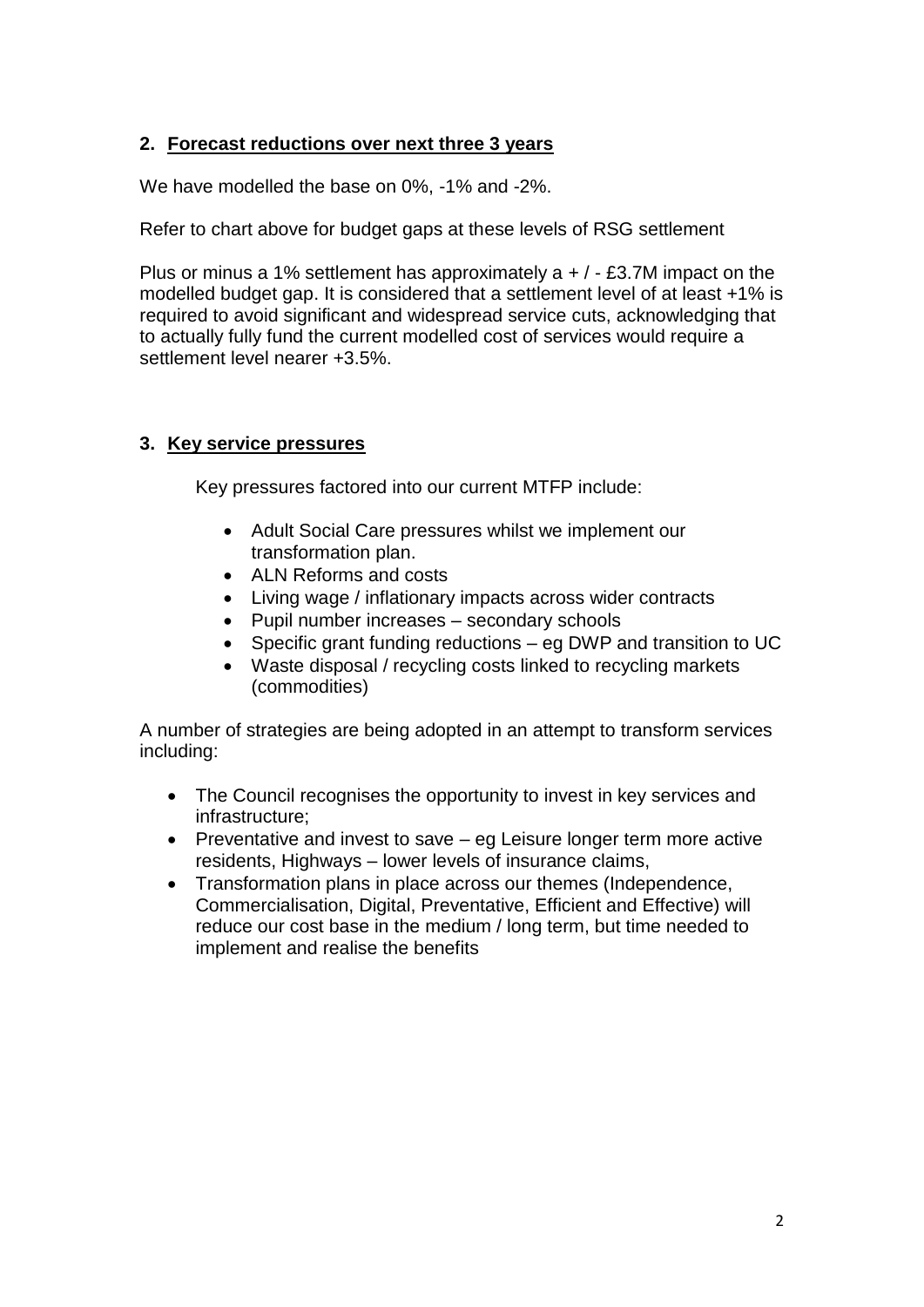## **2. Forecast reductions over next three 3 years**

We have modelled the base on 0%, -1% and -2%.

Refer to chart above for budget gaps at these levels of RSG settlement

Plus or minus a 1% settlement has approximately  $a + / -$  £3.7M impact on the modelled budget gap. It is considered that a settlement level of at least +1% is required to avoid significant and widespread service cuts, acknowledging that to actually fully fund the current modelled cost of services would require a settlement level nearer +3.5%.

#### **3. Key service pressures**

Key pressures factored into our current MTFP include:

- Adult Social Care pressures whilst we implement our transformation plan.
- ALN Reforms and costs
- Living wage / inflationary impacts across wider contracts
- Pupil number increases secondary schools
- Specific grant funding reductions eg DWP and transition to UC
- Waste disposal / recycling costs linked to recycling markets (commodities)

A number of strategies are being adopted in an attempt to transform services including:

- The Council recognises the opportunity to invest in key services and infrastructure;
- Preventative and invest to save eg Leisure longer term more active residents, Highways – lower levels of insurance claims,
- Transformation plans in place across our themes (Independence, Commercialisation, Digital, Preventative, Efficient and Effective) will reduce our cost base in the medium / long term, but time needed to implement and realise the benefits